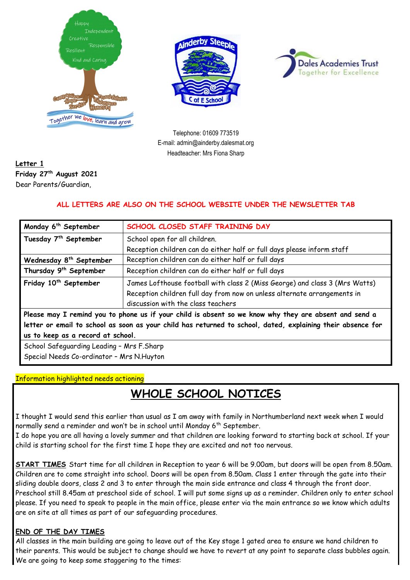





Telephone: 01609 773519 E-mail: admin@ainderby.dalesmat.org Headteacher: Mrs Fiona Sharp

### **Letter 1 Friday 27th August 2021** Dear Parents/Guardian,

### **ALL LETTERS ARE ALSO ON THE SCHOOL WEBSITE UNDER THE NEWSLETTER TAB**

| Monday 6 <sup>th</sup> September                                                                            | SCHOOL CLOSED STAFF TRAINING DAY                                            |
|-------------------------------------------------------------------------------------------------------------|-----------------------------------------------------------------------------|
| Tuesday 7 <sup>th</sup> September                                                                           | School open for all children.                                               |
|                                                                                                             | Reception children can do either half or full days please inform staff      |
| Wednesday 8 <sup>th</sup> September                                                                         | Reception children can do either half or full days                          |
| Thursday 9 <sup>th</sup> September                                                                          | Reception children can do either half or full days                          |
| Friday 10 <sup>th</sup> September                                                                           | James Lofthouse football with class 2 (Miss George) and class 3 (Mrs Watts) |
|                                                                                                             | Reception children full day from now on unless alternate arrangements in    |
|                                                                                                             | discussion with the class teachers                                          |
| Please may I remind you to phone us if your child is absent so we know why they are absent and send a       |                                                                             |
| letter or email to school as soon as your child has returned to school, dated, explaining their absence for |                                                                             |
| us to keep as a record at school.                                                                           |                                                                             |
| School Safeguarding Leading - Mrs F.Sharp                                                                   |                                                                             |
| Special Needs Co-ordinator - Mrs N.Huyton                                                                   |                                                                             |

#### Information highlighted needs actioning

## **WHOLE SCHOOL NOTICES**

I thought I would send this earlier than usual as I am away with family in Northumberland next week when I would normally send a reminder and won't be in school until Monday 6<sup>th</sup> September.

I do hope you are all having a lovely summer and that children are looking forward to starting back at school. If your child is starting school for the first time I hope they are excited and not too nervous.

**START TIMES** Start time for all children in Reception to year 6 will be 9.00am, but doors will be open from 8.50am. Children are to come straight into school. Doors will be open from 8.50am. Class 1 enter through the gate into their sliding double doors, class 2 and 3 to enter through the main side entrance and class 4 through the front door. Preschool still 8.45am at preschool side of school. I will put some signs up as a reminder. Children only to enter school please. If you need to speak to people in the main office, please enter via the main entrance so we know which adults are on site at all times as part of our safeguarding procedures.

#### **END OF THE DAY TIMES**

All classes in the main building are going to leave out of the Key stage 1 gated area to ensure we hand children to their parents. This would be subject to change should we have to revert at any point to separate class bubbles again. We are going to keep some staggering to the times: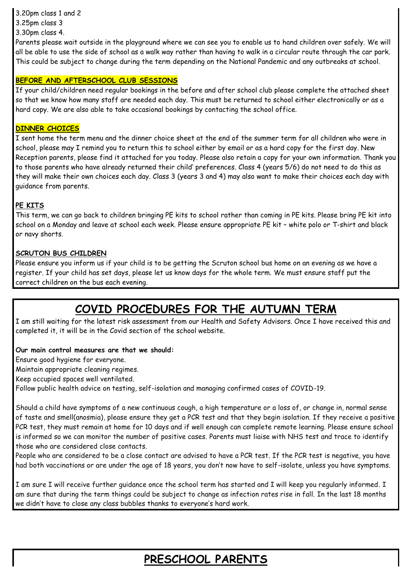3.20pm class 1 and 2

- 3.25pm class 3
- 3.30pm class 4.

Parents please wait outside in the playground where we can see you to enable us to hand children over safely. We will all be able to use the side of school as a walk way rather than having to walk in a circular route through the car park. This could be subject to change during the term depending on the National Pandemic and any outbreaks at school.

### **BEFORE AND AFTERSCHOOL CLUB SESSIONS**

If your child/children need regular bookings in the before and after school club please complete the attached sheet so that we know how many staff are needed each day. This must be returned to school either electronically or as a hard copy. We are also able to take occasional bookings by contacting the school office.

#### **DINNER CHOICES**

I sent home the term menu and the dinner choice sheet at the end of the summer term for all children who were in school, please may I remind you to return this to school either by email or as a hard copy for the first day. New Reception parents, please find it attached for you today. Please also retain a copy for your own information. Thank you to those parents who have already returned their child' preferences. Class 4 (years 5/6) do not need to do this as they will make their own choices each day. Class 3 (years 3 and 4) may also want to make their choices each day with guidance from parents.

#### **PE KITS**

This term, we can go back to children bringing PE kits to school rather than coming in PE kits. Please bring PE kit into school on a Monday and leave at school each week. Please ensure appropriate PE kit – white polo or T-shirt and black or navy shorts.

#### **SCRUTON BUS CHILDREN**

Please ensure you inform us if your child is to be getting the Scruton school bus home on an evening as we have a register. If your child has set days, please let us know days for the whole term. We must ensure staff put the correct children on the bus each evening.

# **COVID PROCEDURES FOR THE AUTUMN TERM**

I am still waiting for the latest risk assessment from our Health and Safety Advisors. Once I have received this and completed it, it will be in the Covid section of the school website.

#### **Our main control measures are that we should:**

Ensure good hygiene for everyone.

Maintain appropriate cleaning regimes.

Keep occupied spaces well ventilated.

Follow public health advice on testing, self-isolation and managing confirmed cases of COVID-19.

Should a child have symptoms of a new continuous cough, a high temperature or a loss of, or change in, normal sense of taste and smell(anosmia), please ensure they get a PCR test and that they begin isolation. If they receive a positive PCR test, they must remain at home for 10 days and if well enough can complete remote learning. Please ensure school is informed so we can monitor the number of positive cases. Parents must liaise with NHS test and trace to identify those who are considered close contacts.

People who are considered to be a close contact are advised to have a PCR test. If the PCR test is negative, you have had both vaccinations or are under the age of 18 years, you don't now have to self-isolate, unless you have symptoms.

I am sure I will receive further guidance once the school term has started and I will keep you regularly informed. I am sure that during the term things could be subject to change as infection rates rise in fall. In the last 18 months we didn't have to close any class bubbles thanks to everyone's hard work.

# **PRESCHOOL PARENTS**